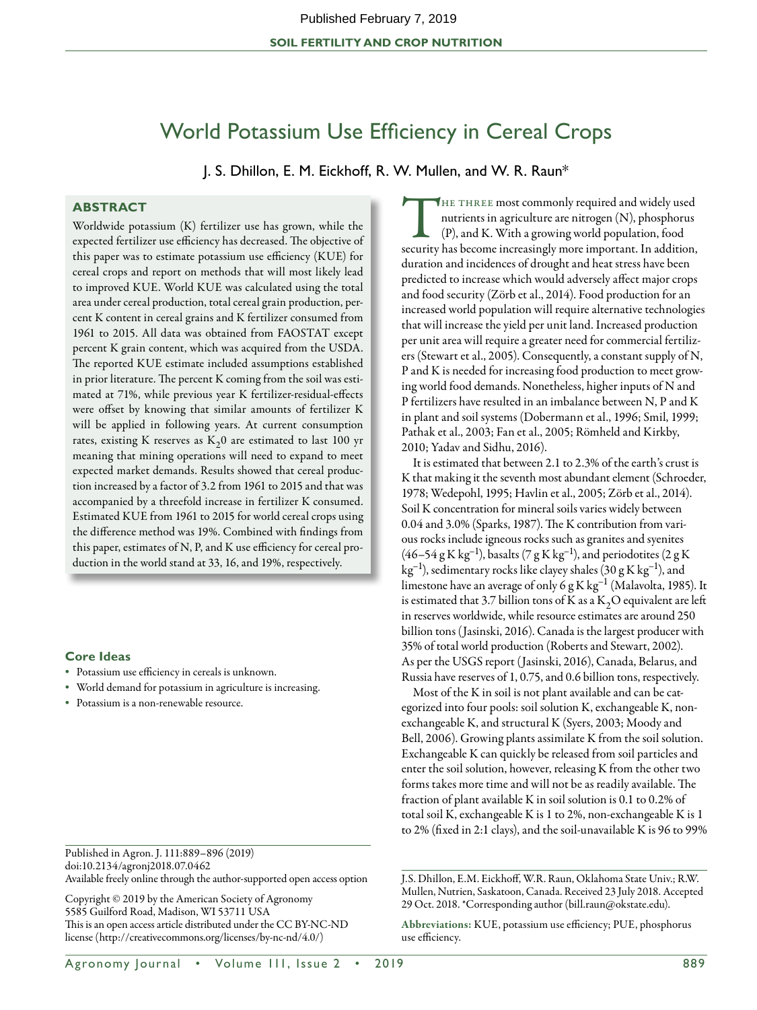# World Potassium Use Efficiency in Cereal Crops

J. S. Dhillon, E. M. Eickhoff, R. W. Mullen, and W. R. Raun\*

# **ABSTRACT**

Worldwide potassium (K) fertilizer use has grown, while the expected fertilizer use efficiency has decreased. The objective of this paper was to estimate potassium use efficiency (KUE) for cereal crops and report on methods that will most likely lead to improved KUE. World KUE was calculated using the total area under cereal production, total cereal grain production, percent K content in cereal grains and K fertilizer consumed from 1961 to 2015. All data was obtained from FAOSTAT except percent K grain content, which was acquired from the USDA. The reported KUE estimate included assumptions established in prior literature. The percent K coming from the soil was estimated at 71%, while previous year K fertilizer-residual-effects were offset by knowing that similar amounts of fertilizer K will be applied in following years. At current consumption rates, existing K reserves as  $K_2$ 0 are estimated to last 100 yr meaning that mining operations will need to expand to meet expected market demands. Results showed that cereal production increased by a factor of 3.2 from 1961 to 2015 and that was accompanied by a threefold increase in fertilizer K consumed. Estimated KUE from 1961 to 2015 for world cereal crops using the difference method was 19%. Combined with findings from this paper, estimates of N, P, and K use efficiency for cereal production in the world stand at 33, 16, and 19%, respectively.

## **Core Ideas**

- • Potassium use efficiency in cereals is unknown.
- • World demand for potassium in agriculture is increasing.
- • Potassium is a non-renewable resource.

Published in Agron. J. 111:889–896 (2019) doi:10.2134/agronj2018.07.0462 Available freely online through the author-supported open access option

Copyright © 2019 by the American Society of Agronomy 5585 Guilford Road, Madison, WI 53711 USA This is an open access article distributed under the CC BY-NC-ND license (http://creativecommons.org/licenses/by-nc-nd/4.0/)

THE THREE most commonly required and widely used nutrients in agriculture are nitrogen (N), phosphorus (P), and K. With a growing world population, food security has become increasingly more important. In addition, duration and incidences of drought and heat stress have been predicted to increase which would adversely affect major crops and food security (Zörb et al., 2014). Food production for an increased world population will require alternative technologies that will increase the yield per unit land. Increased production per unit area will require a greater need for commercial fertilizers (Stewart et al., 2005). Consequently, a constant supply of N, P and K is needed for increasing food production to meet growing world food demands. Nonetheless, higher inputs of N and P fertilizers have resulted in an imbalance between N, P and K in plant and soil systems (Dobermann et al., 1996; Smil, 1999; Pathak et al., 2003; Fan et al., 2005; Römheld and Kirkby, 2010; Yadav and Sidhu, 2016).

It is estimated that between 2.1 to 2.3% of the earth's crust is K that making it the seventh most abundant element (Schroeder, 1978; Wedepohl, 1995; Havlin et al., 2005; Zörb et al., 2014). Soil K concentration for mineral soils varies widely between 0.04 and 3.0% (Sparks, 1987). The K contribution from various rocks include igneous rocks such as granites and syenites  $(46–54 \text{ g K kg}^{-1})$ , basalts  $(7 \text{ g K kg}^{-1})$ , and periodotites  $(2 \text{ g K})$  $kg^{-1}$ ), sedimentary rocks like clayey shales (30 g K kg<sup>-1</sup>), and limestone have an average of only 6 g K kg<sup>-1</sup> (Malavolta, 1985). It is estimated that 3.7 billion tons of K as a  $K_2O$  equivalent are left in reserves worldwide, while resource estimates are around 250 billion tons (Jasinski, 2016). Canada is the largest producer with 35% of total world production (Roberts and Stewart, 2002). As per the USGS report (Jasinski, 2016), Canada, Belarus, and Russia have reserves of 1, 0.75, and 0.6 billion tons, respectively.

Most of the K in soil is not plant available and can be categorized into four pools: soil solution K, exchangeable K, nonexchangeable K, and structural K (Syers, 2003; Moody and Bell, 2006). Growing plants assimilate K from the soil solution. Exchangeable K can quickly be released from soil particles and enter the soil solution, however, releasing K from the other two forms takes more time and will not be as readily available. The fraction of plant available K in soil solution is 0.1 to 0.2% of total soil K, exchangeable K is 1 to 2%, non-exchangeable K is 1 to 2% (fixed in 2:1 clays), and the soil-unavailable K is 96 to 99%

J.S. Dhillon, E.M. Eickhoff, W.R. Raun, Oklahoma State Univ.; R.W. Mullen, Nutrien, Saskatoon, Canada. Received 23 July 2018. Accepted 29 Oct. 2018. \*Corresponding author (bill.raun@okstate.edu).

Abbreviations: KUE, potassium use efficiency; PUE, phosphorus use efficiency.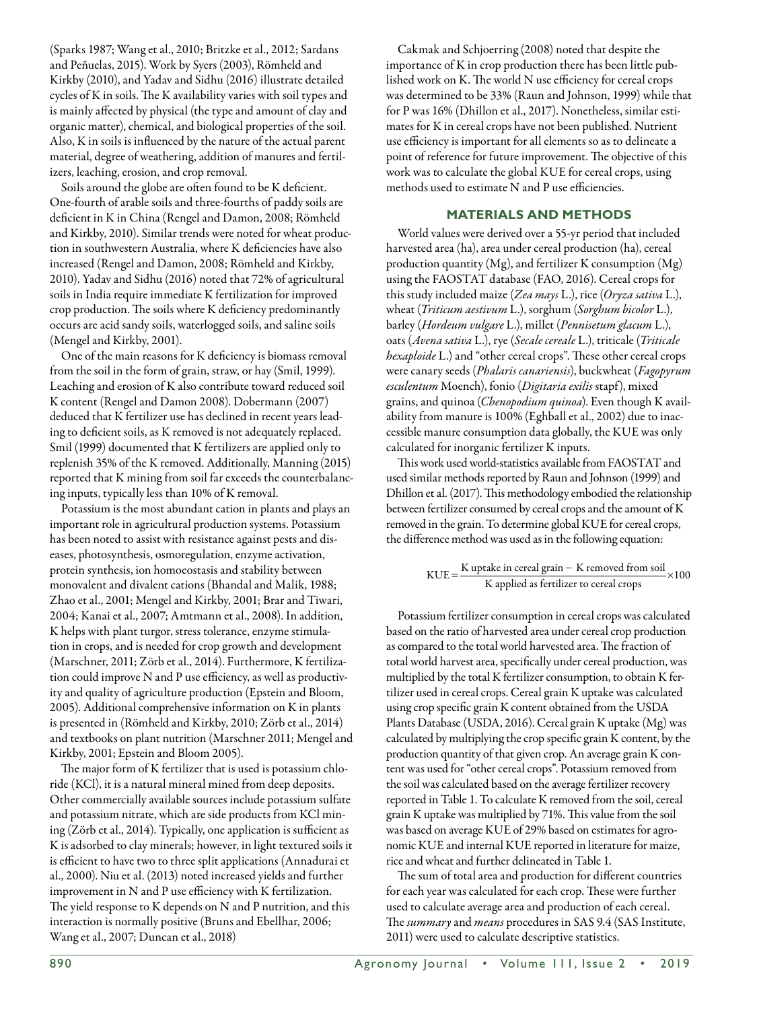(Sparks 1987; Wang et al., 2010; Britzke et al., 2012; Sardans and Peñuelas, 2015). Work by Syers (2003), Römheld and Kirkby (2010), and Yadav and Sidhu (2016) illustrate detailed cycles of K in soils. The K availability varies with soil types and is mainly affected by physical (the type and amount of clay and organic matter), chemical, and biological properties of the soil. Also, K in soils is influenced by the nature of the actual parent material, degree of weathering, addition of manures and fertilizers, leaching, erosion, and crop removal.

Soils around the globe are often found to be K deficient. One-fourth of arable soils and three-fourths of paddy soils are deficient in K in China (Rengel and Damon, 2008; Römheld and Kirkby, 2010). Similar trends were noted for wheat production in southwestern Australia, where K deficiencies have also increased (Rengel and Damon, 2008; Römheld and Kirkby, 2010). Yadav and Sidhu (2016) noted that 72% of agricultural soils in India require immediate K fertilization for improved crop production. The soils where K deficiency predominantly occurs are acid sandy soils, waterlogged soils, and saline soils (Mengel and Kirkby, 2001).

One of the main reasons for K deficiency is biomass removal from the soil in the form of grain, straw, or hay (Smil, 1999). Leaching and erosion of K also contribute toward reduced soil K content (Rengel and Damon 2008). Dobermann (2007) deduced that K fertilizer use has declined in recent years leading to deficient soils, as K removed is not adequately replaced. Smil (1999) documented that K fertilizers are applied only to replenish 35% of the K removed. Additionally, Manning (2015) reported that K mining from soil far exceeds the counterbalancing inputs, typically less than 10% of K removal.

Potassium is the most abundant cation in plants and plays an important role in agricultural production systems. Potassium has been noted to assist with resistance against pests and diseases, photosynthesis, osmoregulation, enzyme activation, protein synthesis, ion homoeostasis and stability between monovalent and divalent cations (Bhandal and Malik, 1988; Zhao et al., 2001; Mengel and Kirkby, 2001; Brar and Tiwari, 2004; Kanai et al., 2007; Amtmann et al., 2008). In addition, K helps with plant turgor, stress tolerance, enzyme stimulation in crops, and is needed for crop growth and development (Marschner, 2011; Zörb et al., 2014). Furthermore, K fertilization could improve N and P use efficiency, as well as productivity and quality of agriculture production (Epstein and Bloom, 2005). Additional comprehensive information on K in plants is presented in (Römheld and Kirkby, 2010; Zörb et al., 2014) and textbooks on plant nutrition (Marschner 2011; Mengel and Kirkby, 2001; Epstein and Bloom 2005).

The major form of K fertilizer that is used is potassium chloride (KCl), it is a natural mineral mined from deep deposits. Other commercially available sources include potassium sulfate and potassium nitrate, which are side products from KCl mining (Zörb et al., 2014). Typically, one application is sufficient as K is adsorbed to clay minerals; however, in light textured soils it is efficient to have two to three split applications (Annadurai et al., 2000). Niu et al. (2013) noted increased yields and further improvement in N and P use efficiency with K fertilization. The yield response to K depends on N and P nutrition, and this interaction is normally positive (Bruns and Ebellhar, 2006; Wang et al., 2007; Duncan et al., 2018)

Cakmak and Schjoerring (2008) noted that despite the importance of K in crop production there has been little published work on K. The world N use efficiency for cereal crops was determined to be 33% (Raun and Johnson, 1999) while that for P was 16% (Dhillon et al., 2017). Nonetheless, similar estimates for K in cereal crops have not been published. Nutrient use efficiency is important for all elements so as to delineate a point of reference for future improvement. The objective of this work was to calculate the global KUE for cereal crops, using methods used to estimate N and P use efficiencies.

## **Materials and Methods**

World values were derived over a 55-yr period that included harvested area (ha), area under cereal production (ha), cereal production quantity (Mg), and fertilizer K consumption (Mg) using the FAOSTAT database (FAO, 2016). Cereal crops for this study included maize (*Zea mays* L.), rice (*Oryza sativa* L.), wheat (*Triticum aestivum* L.), sorghum (*Sorghum bicolor* L.), barley (*Hordeum vulgare* L.), millet (*Pennisetum glacum* L.), oats (*Avena sativa* L.), rye (*Secale cereale* L.), triticale (*Triticale hexaploide* L.) and "other cereal crops". These other cereal crops were canary seeds (*Phalaris canariensis*), buckwheat (*Fagopyrum esculentum* Moench), fonio (*Digitaria exilis* stapf), mixed grains, and quinoa (*Chenopodium quinoa*). Even though K availability from manure is 100% (Eghball et al., 2002) due to inaccessible manure consumption data globally, the KUE was only calculated for inorganic fertilizer K inputs.

This work used world-statistics available from FAOSTAT and used similar methods reported by Raun and Johnson (1999) and Dhillon et al. (2017). This methodology embodied the relationship between fertilizer consumed by cereal crops and the amount of K removed in the grain. To determine global KUE for cereal crops, the difference method was used as in the following equation:

$$
KUE = \frac{K uptake in cereal grain - K removed from soil}{K applied as fertilizer to cereal crops} \times 100
$$

Potassium fertilizer consumption in cereal crops was calculated based on the ratio of harvested area under cereal crop production as compared to the total world harvested area. The fraction of total world harvest area, specifically under cereal production, was multiplied by the total K fertilizer consumption, to obtain K fertilizer used in cereal crops. Cereal grain K uptake was calculated using crop specific grain K content obtained from the USDA Plants Database (USDA, 2016). Cereal grain K uptake (Mg) was calculated by multiplying the crop specific grain K content, by the production quantity of that given crop. An average grain K content was used for "other cereal crops". Potassium removed from the soil was calculated based on the average fertilizer recovery reported in Table 1. To calculate K removed from the soil, cereal grain K uptake was multiplied by 71%. This value from the soil was based on average KUE of 29% based on estimates for agronomic KUE and internal KUE reported in literature for maize, rice and wheat and further delineated in Table 1.

The sum of total area and production for different countries for each year was calculated for each crop. These were further used to calculate average area and production of each cereal. The *summary* and *means* procedures in SAS 9.4 (SAS Institute, 2011) were used to calculate descriptive statistics.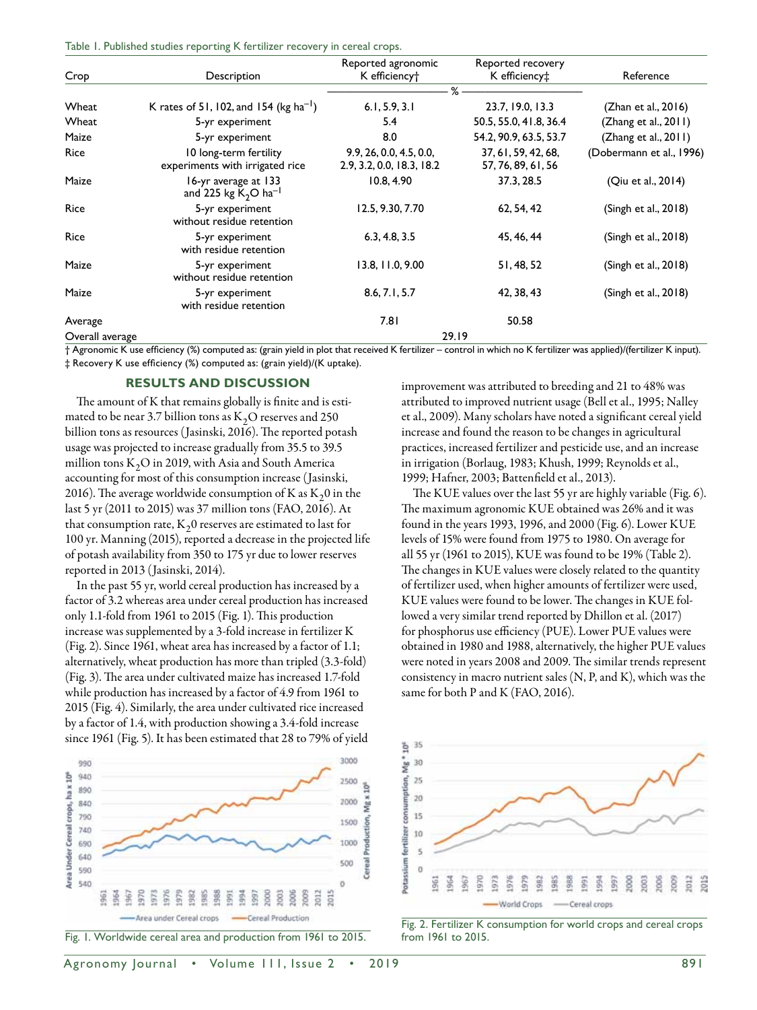|  |  | Table 1. Published studies reporting K fertilizer recovery in cereal crops. |  |  |  |
|--|--|-----------------------------------------------------------------------------|--|--|--|
|  |  |                                                                             |  |  |  |

| Crop            | Description                                               | Reported agronomic<br>K efficiency <sup>+</sup>      | Reported recovery<br>K efficiency‡        | Reference                |
|-----------------|-----------------------------------------------------------|------------------------------------------------------|-------------------------------------------|--------------------------|
|                 |                                                           |                                                      | %                                         |                          |
| Wheat           | K rates of 51, 102, and 154 ( $kg$ ha <sup>-1</sup> )     | 6.1, 5.9, 3.1                                        | 23.7, 19.0, 13.3                          | (Zhan et al., 2016)      |
| Wheat           | 5-yr experiment                                           | 5.4                                                  | 50.5, 55.0, 41.8, 36.4                    | (Zhang et al., 2011)     |
| Maize           | 5-yr experiment                                           | 8.0                                                  | 54.2, 90.9, 63.5, 53.7                    | (Zhang et al., 2011)     |
| Rice            | 10 long-term fertility<br>experiments with irrigated rice | 9.9, 26, 0.0, 4.5, 0.0,<br>2.9, 3.2, 0.0, 18.3, 18.2 | 37, 61, 59, 42, 68,<br>57, 76, 89, 61, 56 | (Dobermann et al., 1996) |
| Maize           | 16-yr average at 133<br>and 225 kg $K2O$ ha <sup>-1</sup> | 10.8, 4.90                                           | 37.3, 28.5                                | (Qiu et al., 2014)       |
| Rice            | 5-yr experiment<br>without residue retention              | 12.5, 9.30, 7.70                                     | 62, 54, 42                                | (Singh et al., 2018)     |
| Rice            | 5-yr experiment<br>with residue retention                 | 6.3, 4.8, 3.5                                        | 45, 46, 44                                | (Singh et al., 2018)     |
| Maize           | 5-yr experiment<br>without residue retention              | 13.8, 11.0, 9.00                                     | 51, 48, 52                                | $(Singh$ et al., 2018)   |
| Maize           | 5-yr experiment<br>with residue retention                 | 8.6, 7.1, 5.7                                        | 42, 38, 43                                | $(Singh$ et al., 2018)   |
| Average         |                                                           | 7.81                                                 | 50.58                                     |                          |
| Overall average |                                                           | 29.19                                                |                                           |                          |

† Agronomic K use efficiency (%) computed as: (grain yield in plot that received K fertilizer – control in which no K fertilizer was applied)/(fertilizer K input). ‡ Recovery K use efficiency (%) computed as: (grain yield)/(K uptake).

## **Results and Discussion**

The amount of K that remains globally is finite and is estimated to be near 3.7 billion tons as  $K<sub>2</sub>O$  reserves and 250 billion tons as resources (Jasinski, 2016). The reported potash usage was projected to increase gradually from 35.5 to 39.5 million tons  $K_2O$  in 2019, with Asia and South America accounting for most of this consumption increase (Jasinski, 2016). The average worldwide consumption of K as  $K<sub>2</sub>0$  in the last 5 yr (2011 to 2015) was 37 million tons (FAO, 2016). At that consumption rate,  $K<sub>2</sub>0$  reserves are estimated to last for 100 yr. Manning (2015), reported a decrease in the projected life of potash availability from 350 to 175 yr due to lower reserves reported in 2013 (Jasinski, 2014).

In the past 55 yr, world cereal production has increased by a factor of 3.2 whereas area under cereal production has increased only 1.1-fold from 1961 to 2015 (Fig. 1). This production increase was supplemented by a 3-fold increase in fertilizer K (Fig. 2). Since 1961, wheat area has increased by a factor of 1.1; alternatively, wheat production has more than tripled (3.3-fold) (Fig. 3). The area under cultivated maize has increased 1.7-fold while production has increased by a factor of 4.9 from 1961 to 2015 (Fig. 4). Similarly, the area under cultivated rice increased by a factor of 1.4, with production showing a 3.4-fold increase since 1961 (Fig. 5). It has been estimated that 28 to 79% of yield





Agronomy Journal • Volume 111, Issue 2 • 2019 **891** 

improvement was attributed to breeding and 21 to 48% was attributed to improved nutrient usage (Bell et al., 1995; Nalley et al., 2009). Many scholars have noted a significant cereal yield increase and found the reason to be changes in agricultural practices, increased fertilizer and pesticide use, and an increase in irrigation (Borlaug, 1983; Khush, 1999; Reynolds et al., 1999; Hafner, 2003; Battenfield et al., 2013).

The KUE values over the last 55 yr are highly variable (Fig. 6). The maximum agronomic KUE obtained was 26% and it was found in the years 1993, 1996, and 2000 (Fig. 6). Lower KUE levels of 15% were found from 1975 to 1980. On average for all 55 yr (1961 to 2015), KUE was found to be 19% (Table 2). The changes in KUE values were closely related to the quantity of fertilizer used, when higher amounts of fertilizer were used, KUE values were found to be lower. The changes in KUE followed a very similar trend reported by Dhillon et al. (2017) for phosphorus use efficiency (PUE). Lower PUE values were obtained in 1980 and 1988, alternatively, the higher PUE values were noted in years 2008 and 2009. The similar trends represent consistency in macro nutrient sales (N, P, and K), which was the same for both P and K (FAO, 2016).



Fig. 2. Fertilizer K consumption for world crops and cereal crops from 1961 to 2015.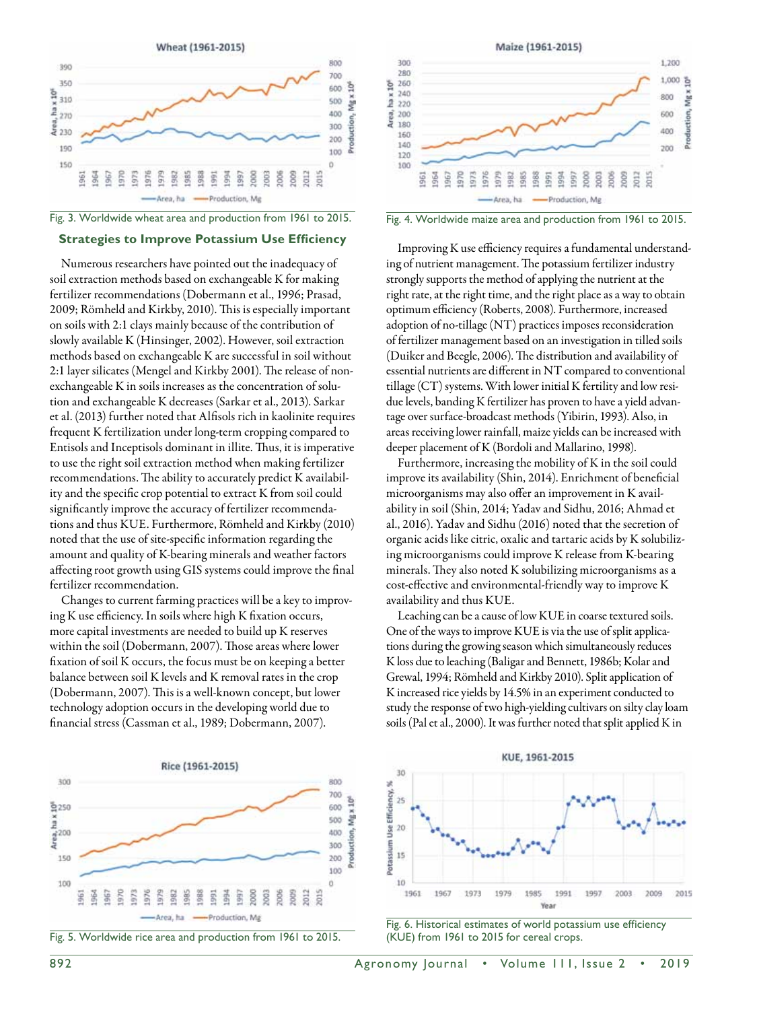



# **Strategies to Improve Potassium Use Efficiency**

Numerous researchers have pointed out the inadequacy of soil extraction methods based on exchangeable K for making fertilizer recommendations (Dobermann et al., 1996; Prasad, 2009; Römheld and Kirkby, 2010). This is especially important on soils with 2:1 clays mainly because of the contribution of slowly available K (Hinsinger, 2002). However, soil extraction methods based on exchangeable K are successful in soil without 2:1 layer silicates (Mengel and Kirkby 2001). The release of nonexchangeable K in soils increases as the concentration of solution and exchangeable K decreases (Sarkar et al., 2013). Sarkar et al. (2013) further noted that Alfisols rich in kaolinite requires frequent K fertilization under long-term cropping compared to Entisols and Inceptisols dominant in illite. Thus, it is imperative to use the right soil extraction method when making fertilizer recommendations. The ability to accurately predict K availability and the specific crop potential to extract K from soil could significantly improve the accuracy of fertilizer recommendations and thus KUE. Furthermore, Römheld and Kirkby (2010) noted that the use of site-specific information regarding the amount and quality of K-bearing minerals and weather factors affecting root growth using GIS systems could improve the final fertilizer recommendation.

Changes to current farming practices will be a key to improving K use efficiency. In soils where high K fixation occurs, more capital investments are needed to build up K reserves within the soil (Dobermann, 2007). Those areas where lower fixation of soil K occurs, the focus must be on keeping a better balance between soil K levels and K removal rates in the crop (Dobermann, 2007). This is a well-known concept, but lower technology adoption occurs in the developing world due to financial stress (Cassman et al., 1989; Dobermann, 2007).







Improving K use efficiency requires a fundamental understanding of nutrient management. The potassium fertilizer industry strongly supports the method of applying the nutrient at the right rate, at the right time, and the right place as a way to obtain optimum efficiency (Roberts, 2008). Furthermore, increased adoption of no-tillage (NT) practices imposes reconsideration of fertilizer management based on an investigation in tilled soils (Duiker and Beegle, 2006). The distribution and availability of essential nutrients are different in NT compared to conventional tillage (CT) systems. With lower initial K fertility and low residue levels, banding K fertilizer has proven to have a yield advantage over surface-broadcast methods (Yibirin, 1993). Also, in areas receiving lower rainfall, maize yields can be increased with deeper placement of K (Bordoli and Mallarino, 1998).

Furthermore, increasing the mobility of K in the soil could improve its availability (Shin, 2014). Enrichment of beneficial microorganisms may also offer an improvement in K availability in soil (Shin, 2014; Yadav and Sidhu, 2016; Ahmad et al., 2016). Yadav and Sidhu (2016) noted that the secretion of organic acids like citric, oxalic and tartaric acids by K solubilizing microorganisms could improve K release from K-bearing minerals. They also noted K solubilizing microorganisms as a cost-effective and environmental-friendly way to improve K availability and thus KUE.

Leaching can be a cause of low KUE in coarse textured soils. One of the ways to improve KUE is via the use of split applications during the growing season which simultaneously reduces K loss due to leaching (Baligar and Bennett, 1986b; Kolar and Grewal, 1994; Römheld and Kirkby 2010). Split application of K increased rice yields by 14.5% in an experiment conducted to study the response of two high-yielding cultivars on silty clay loam soils (Pal et al., 2000). It was further noted that split applied K in



Fig. 6. Historical estimates of world potassium use efficiency (KUE) from 1961 to 2015 for cereal crops.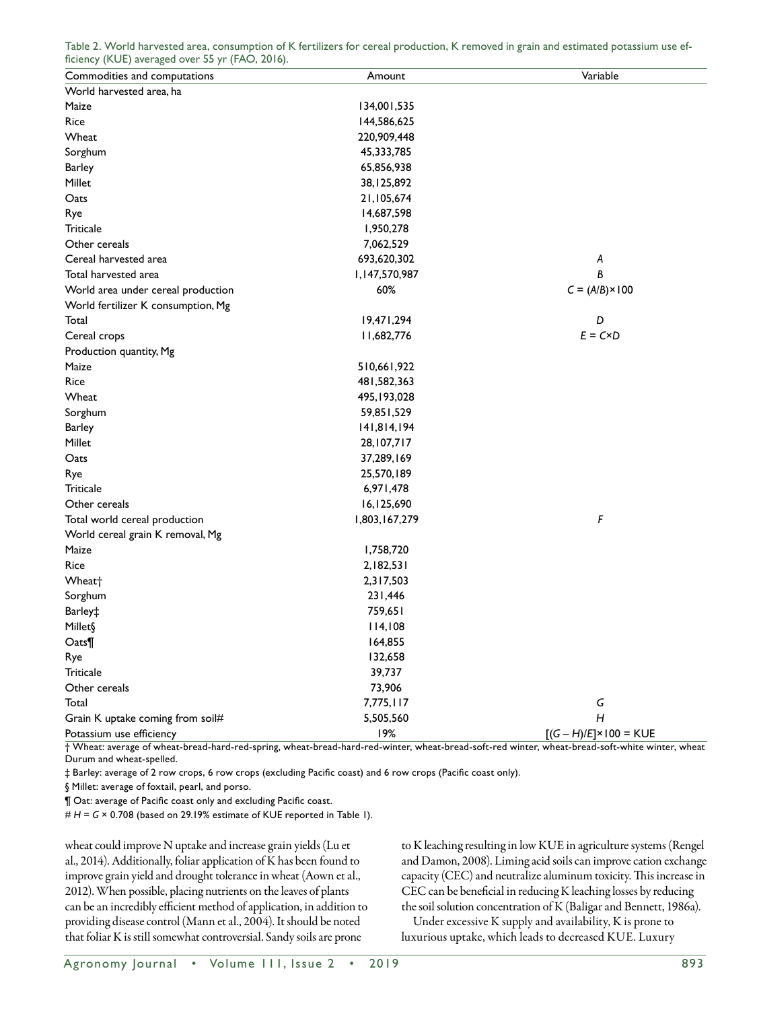| ficiency (KUE) averaged over 55 yr (FAO, 2016). |               |                                |
|-------------------------------------------------|---------------|--------------------------------|
| Commodities and computations                    | Amount        | Variable                       |
| World harvested area, ha                        |               |                                |
| Maize                                           | 134,001,535   |                                |
| Rice                                            | 144,586,625   |                                |
| Wheat                                           | 220,909,448   |                                |
| Sorghum                                         | 45,333,785    |                                |
| <b>Barley</b>                                   | 65,856,938    |                                |
| Millet                                          | 38,125,892    |                                |
| Oats                                            | 21,105,674    |                                |
| Rye                                             | 14,687,598    |                                |
| <b>Triticale</b>                                | 1,950,278     |                                |
| Other cereals                                   | 7,062,529     |                                |
| Cereal harvested area                           | 693,620,302   | A                              |
| Total harvested area                            | 1,147,570,987 | B                              |
| World area under cereal production              | 60%           | $C = (A/B) \times 100$         |
| World fertilizer K consumption, Mg              |               |                                |
| Total                                           | 19,471,294    | D                              |
| Cereal crops                                    | 11,682,776    | $E = C \times D$               |
| Production quantity, Mg                         |               |                                |
| Maize                                           | 510,661,922   |                                |
| Rice                                            | 481,582,363   |                                |
| Wheat                                           | 495, 193, 028 |                                |
| Sorghum                                         | 59,851,529    |                                |
| <b>Barley</b>                                   | 141,814,194   |                                |
| Millet                                          | 28, 107, 717  |                                |
| Oats                                            | 37,289,169    |                                |
| Rye                                             | 25,570,189    |                                |
| <b>Triticale</b>                                | 6,971,478     |                                |
| Other cereals                                   | 16,125,690    |                                |
| Total world cereal production                   | 1,803,167,279 | F                              |
| World cereal grain K removal, Mg                |               |                                |
| Maize                                           | 1,758,720     |                                |
| Rice                                            | 2,182,531     |                                |
| Wheat <sup>+</sup>                              | 2,317,503     |                                |
| Sorghum                                         | 231,446       |                                |
| Barley‡                                         | 759,651       |                                |
| Millet§                                         | 114,108       |                                |
| Oats¶                                           | 164,855       |                                |
| Rye                                             | 132,658       |                                |
| Triticale                                       | 39,737        |                                |
| Other cereals                                   | 73,906        |                                |
| Total                                           | 7,775,117     | G                              |
| Grain K uptake coming from soil#                | 5,505,560     | $\overline{H}$                 |
| Potassium use efficiency                        | 19%           | $[(G - H)/E] \times 100 = KUE$ |

Table 2. World harvested area, consumption of K fertilizers for cereal production, K removed in grain and estimated potassium use ef-

† Wheat: average of wheat-bread-hard-red-spring, wheat-bread-hard-red-winter, wheat-bread-soft-red winter, wheat-bread-soft-white winter, wheat Durum and wheat-spelled.

‡ Barley: average of 2 row crops, 6 row crops (excluding Pacific coast) and 6 row crops (Pacific coast only).

§ Millet: average of foxtail, pearl, and porso.

¶ Oat: average of Pacific coast only and excluding Pacific coast.

# *H* = *G* × 0.708 (based on 29.19% estimate of KUE reported in Table 1).

wheat could improve N uptake and increase grain yields (Lu et al., 2014). Additionally, foliar application of K has been found to improve grain yield and drought tolerance in wheat (Aown et al., 2012). When possible, placing nutrients on the leaves of plants can be an incredibly efficient method of application, in addition to providing disease control (Mann et al., 2004). It should be noted that foliar K is still somewhat controversial. Sandy soils are prone

to K leaching resulting in low KUE in agriculture systems (Rengel and Damon, 2008). Liming acid soils can improve cation exchange capacity (CEC) and neutralize aluminum toxicity. This increase in CEC can be beneficial in reducing K leaching losses by reducing the soil solution concentration of K (Baligar and Bennett, 1986a).

Under excessive K supply and availability, K is prone to luxurious uptake, which leads to decreased KUE. Luxury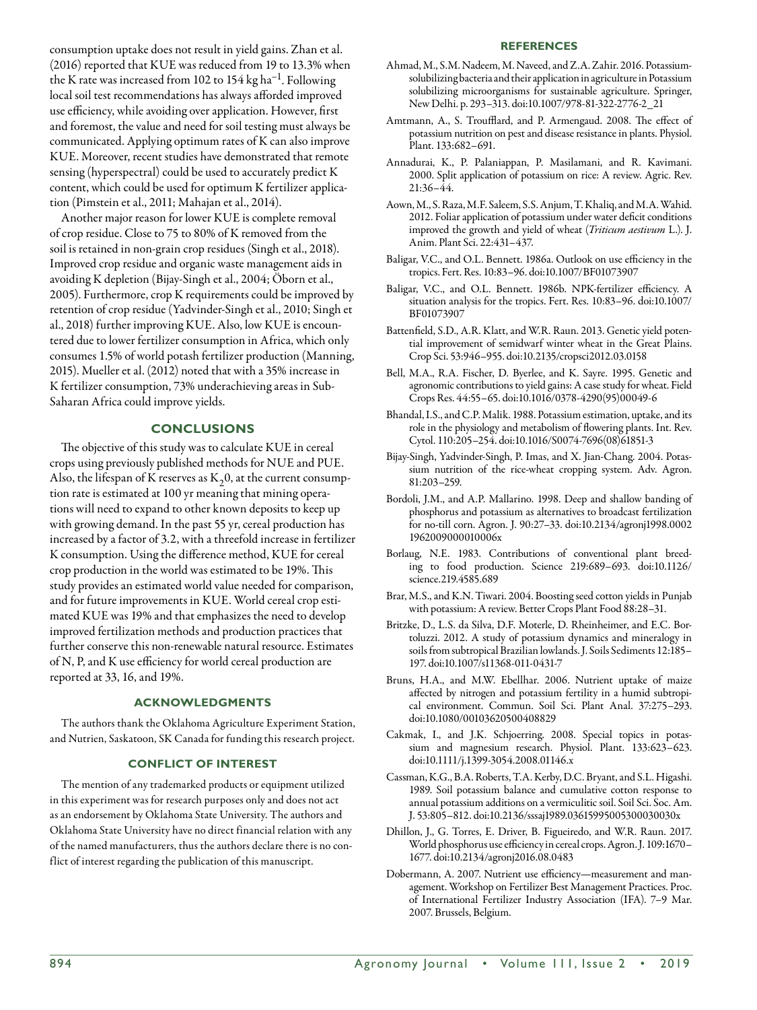#### **References**

consumption uptake does not result in yield gains. Zhan et al. (2016) reported that KUE was reduced from 19 to 13.3% when the K rate was increased from 102 to  $154$  kg ha<sup>-1</sup>. Following local soil test recommendations has always afforded improved use efficiency, while avoiding over application. However, first and foremost, the value and need for soil testing must always be communicated. Applying optimum rates of K can also improve KUE. Moreover, recent studies have demonstrated that remote sensing (hyperspectral) could be used to accurately predict K content, which could be used for optimum K fertilizer application (Pimstein et al., 2011; Mahajan et al., 2014).

Another major reason for lower KUE is complete removal of crop residue. Close to 75 to 80% of K removed from the soil is retained in non-grain crop residues (Singh et al., 2018). Improved crop residue and organic waste management aids in avoiding K depletion (Bijay-Singh et al., 2004; Öborn et al., 2005). Furthermore, crop K requirements could be improved by retention of crop residue (Yadvinder-Singh et al., 2010; Singh et al., 2018) further improving KUE. Also, low KUE is encountered due to lower fertilizer consumption in Africa, which only consumes 1.5% of world potash fertilizer production (Manning, 2015). Mueller et al. (2012) noted that with a 35% increase in K fertilizer consumption, 73% underachieving areas in Sub-Saharan Africa could improve yields.

## **Conclusions**

The objective of this study was to calculate KUE in cereal crops using previously published methods for NUE and PUE. Also, the lifespan of K reserves as  $K_2$ 0, at the current consumption rate is estimated at 100 yr meaning that mining operations will need to expand to other known deposits to keep up with growing demand. In the past 55 yr, cereal production has increased by a factor of 3.2, with a threefold increase in fertilizer K consumption. Using the difference method, KUE for cereal crop production in the world was estimated to be 19%. This study provides an estimated world value needed for comparison, and for future improvements in KUE. World cereal crop estimated KUE was 19% and that emphasizes the need to develop improved fertilization methods and production practices that further conserve this non-renewable natural resource. Estimates of N, P, and K use efficiency for world cereal production are reported at 33, 16, and 19%.

#### **Acknowledgments**

The authors thank the Oklahoma Agriculture Experiment Station, and Nutrien, Saskatoon, SK Canada for funding this research project.

## **Conflict of Interest**

The mention of any trademarked products or equipment utilized in this experiment was for research purposes only and does not act as an endorsement by Oklahoma State University. The authors and Oklahoma State University have no direct financial relation with any of the named manufacturers, thus the authors declare there is no conflict of interest regarding the publication of this manuscript.

- Ahmad, M., S.M. Nadeem, M. Naveed, and Z.A. Zahir. 2016. Potassiumsolubilizing bacteria and their application in agriculture in Potassium solubilizing microorganisms for sustainable agriculture. Springer, New Delhi. p. 293–313. doi:10.1007/978-81-322-2776-2\_21
- Amtmann, A., S. Troufflard, and P. Armengaud. 2008. The effect of potassium nutrition on pest and disease resistance in plants. Physiol. Plant. 133:682–691.
- Annadurai, K., P. Palaniappan, P. Masilamani, and R. Kavimani. 2000. Split application of potassium on rice: A review. Agric. Rev. 21:36–44.
- Aown, M., S. Raza, M.F. Saleem, S.S. Anjum, T. Khaliq, and M.A. Wahid. 2012. Foliar application of potassium under water deficit conditions improved the growth and yield of wheat (*Triticum aestivum* L.). J. Anim. Plant Sci. 22:431–437.
- Baligar, V.C., and O.L. Bennett. 1986a. Outlook on use efficiency in the tropics. Fert. Res. 10:83–96. doi:10.1007/BF01073907
- Baligar, V.C., and O.L. Bennett. 1986b. NPK-fertilizer efficiency. A situation analysis for the tropics. Fert. Res. 10:83–96. doi:10.1007/ BF01073907
- Battenfield, S.D., A.R. Klatt, and W.R. Raun. 2013. Genetic yield potential improvement of semidwarf winter wheat in the Great Plains. Crop Sci. 53:946–955. doi:10.2135/cropsci2012.03.0158
- Bell, M.A., R.A. Fischer, D. Byerlee, and K. Sayre. 1995. Genetic and agronomic contributions to yield gains: A case study for wheat. Field Crops Res. 44:55–65. doi:10.1016/0378-4290(95)00049-6
- Bhandal, I.S., and C.P. Malik. 1988. Potassium estimation, uptake, and its role in the physiology and metabolism of flowering plants. Int. Rev. Cytol. 110:205–254. doi:10.1016/S0074-7696(08)61851-3
- Bijay-Singh, Yadvinder-Singh, P. Imas, and X. Jian-Chang. 2004. Potassium nutrition of the rice-wheat cropping system. Adv. Agron. 81:203–259.
- Bordoli, J.M., and A.P. Mallarino. 1998. Deep and shallow banding of phosphorus and potassium as alternatives to broadcast fertilization for no-till corn. Agron. J. 90:27–33. doi:10.2134/agronj1998.0002 1962009000010006x
- Borlaug, N.E. 1983. Contributions of conventional plant breeding to food production. Science 219:689–693. doi:10.1126/ science.219.4585.689
- Brar, M.S., and K.N. Tiwari. 2004. Boosting seed cotton yields in Punjab with potassium: A review. Better Crops Plant Food 88:28–31.
- Britzke, D., L.S. da Silva, D.F. Moterle, D. Rheinheimer, and E.C. Bortoluzzi. 2012. A study of potassium dynamics and mineralogy in soils from subtropical Brazilian lowlands. J. Soils Sediments 12:185– 197. doi:10.1007/s11368-011-0431-7
- Bruns, H.A., and M.W. Ebellhar. 2006. Nutrient uptake of maize affected by nitrogen and potassium fertility in a humid subtropical environment. Commun. Soil Sci. Plant Anal. 37:275–293. doi:10.1080/00103620500408829
- Cakmak, I., and J.K. Schjoerring. 2008. Special topics in potassium and magnesium research. Physiol. Plant. 133:623–623. doi:10.1111/j.1399-3054.2008.01146.x
- Cassman, K.G., B.A. Roberts, T.A. Kerby, D.C. Bryant, and S.L. Higashi. 1989. Soil potassium balance and cumulative cotton response to annual potassium additions on a vermiculitic soil. Soil Sci. Soc. Am. J. 53:805–812. doi:10.2136/sssaj1989.03615995005300030030x
- Dhillon, J., G. Torres, E. Driver, B. Figueiredo, and W.R. Raun. 2017. World phosphorus use efficiency in cereal crops. Agron. J. 109:1670– 1677. doi:10.2134/agronj2016.08.0483
- Dobermann, A. 2007. Nutrient use efficiency—measurement and management. Workshop on Fertilizer Best Management Practices. Proc. of International Fertilizer Industry Association (IFA). 7–9 Mar. 2007. Brussels, Belgium.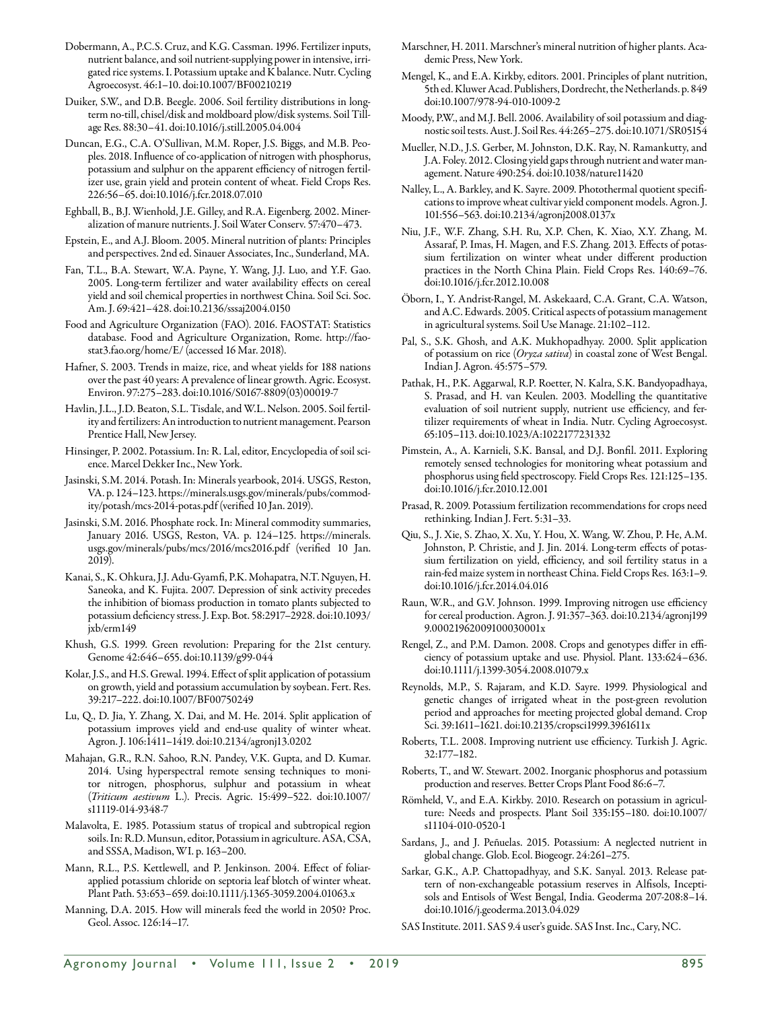- Dobermann, A., P.C.S. Cruz, and K.G. Cassman. 1996. Fertilizer inputs, nutrient balance, and soil nutrient-supplying power in intensive, irrigated rice systems. I. Potassium uptake and K balance. Nutr. Cycling Agroecosyst. 46:1–10. doi:10.1007/BF00210219
- Duiker, S.W., and D.B. Beegle. 2006. Soil fertility distributions in longterm no-till, chisel/disk and moldboard plow/disk systems. Soil Tillage Res. 88:30–41. doi:10.1016/j.still.2005.04.004
- Duncan, E.G., C.A. O'Sullivan, M.M. Roper, J.S. Biggs, and M.B. Peoples. 2018. Influence of co-application of nitrogen with phosphorus, potassium and sulphur on the apparent efficiency of nitrogen fertilizer use, grain yield and protein content of wheat. Field Crops Res. 226:56–65. doi:10.1016/j.fcr.2018.07.010
- Eghball, B., B.J. Wienhold, J.E. Gilley, and R.A. Eigenberg. 2002. Mineralization of manure nutrients. J. Soil Water Conserv. 57:470–473.
- Epstein, E., and A.J. Bloom. 2005. Mineral nutrition of plants: Principles and perspectives. 2nd ed. Sinauer Associates, Inc., Sunderland, MA.
- Fan, T.L., B.A. Stewart, W.A. Payne, Y. Wang, J.J. Luo, and Y.F. Gao. 2005. Long-term fertilizer and water availability effects on cereal yield and soil chemical properties in northwest China. Soil Sci. Soc. Am. J. 69:421–428. doi:10.2136/sssaj2004.0150
- Food and Agriculture Organization (FAO). 2016. FAOSTAT: Statistics database. Food and Agriculture Organization, Rome. http://faostat3.fao.org/home/E/ (accessed 16 Mar. 2018).
- Hafner, S. 2003. Trends in maize, rice, and wheat yields for 188 nations over the past 40 years: A prevalence of linear growth. Agric. Ecosyst. Environ. 97:275–283. doi:10.1016/S0167-8809(03)00019-7
- Havlin, J.L., J.D. Beaton, S.L. Tisdale, and W.L. Nelson. 2005. Soil fertility and fertilizers: An introduction to nutrient management. Pearson Prentice Hall, New Jersey.
- Hinsinger, P. 2002. Potassium. In: R. Lal, editor, Encyclopedia of soil science. Marcel Dekker Inc., New York.
- Jasinski, S.M. 2014. Potash. In: Minerals yearbook, 2014. USGS, Reston, VA. p. 124–123. https://minerals.usgs.gov/minerals/pubs/commodity/potash/mcs-2014-potas.pdf(verified 10 Jan. 2019).
- Jasinski, S.M. 2016. Phosphate rock. In: Mineral commodity summaries, January 2016. USGS, Reston, VA. p. 124–125. https://minerals. usgs.gov/minerals/pubs/mcs/2016/mcs2016.pdf (verified 10 Jan. 2019).
- Kanai, S., K. Ohkura, J.J. Adu-Gyamfi, P.K. Mohapatra, N.T. Nguyen, H. Saneoka, and K. Fujita. 2007. Depression of sink activity precedes the inhibition of biomass production in tomato plants subjected to potassium deficiency stress. J. Exp. Bot. 58:2917–2928. doi:10.1093/ jxb/erm149
- Khush, G.S. 1999. Green revolution: Preparing for the 21st century. Genome 42:646–655. doi:10.1139/g99-044
- Kolar, J.S., and H.S. Grewal. 1994. Effect of split application of potassium on growth, yield and potassium accumulation by soybean. Fert. Res. 39:217–222. doi:10.1007/BF00750249
- Lu, Q., D. Jia, Y. Zhang, X. Dai, and M. He. 2014. Split application of potassium improves yield and end-use quality of winter wheat. Agron. J. 106:1411–1419. doi:10.2134/agronj13.0202
- Mahajan, G.R., R.N. Sahoo, R.N. Pandey, V.K. Gupta, and D. Kumar. 2014. Using hyperspectral remote sensing techniques to monitor nitrogen, phosphorus, sulphur and potassium in wheat (*Triticum aestivum* L.). Precis. Agric. 15:499–522. doi:10.1007/ s11119-014-9348-7
- Malavolta, E. 1985. Potassium status of tropical and subtropical region soils. In: R.D. Munsun, editor, Potassium in agriculture. ASA, CSA, and SSSA, Madison, WI. p. 163–200.
- Mann, R.L., P.S. Kettlewell, and P. Jenkinson. 2004. Effect of foliarapplied potassium chloride on septoria leaf blotch of winter wheat. Plant Path. 53:653–659. doi:10.1111/j.1365-3059.2004.01063.x
- Manning, D.A. 2015. How will minerals feed the world in 2050? Proc. Geol. Assoc. 126:14–17.
- Marschner, H. 2011. Marschner's mineral nutrition of higher plants. Academic Press, New York.
- Mengel, K., and E.A. Kirkby, editors. 2001. Principles of plant nutrition, 5th ed. Kluwer Acad. Publishers, Dordrecht, the Netherlands. p. 849 doi:10.1007/978-94-010-1009-2
- Moody, P.W., and M.J. Bell. 2006. Availability of soil potassium and diagnostic soil tests. Aust. J. Soil Res. 44:265–275. doi:10.1071/SR05154
- Mueller, N.D., J.S. Gerber, M. Johnston, D.K. Ray, N. Ramankutty, and J.A. Foley. 2012. Closing yield gaps through nutrient and water management. Nature 490:254. doi:10.1038/nature11420
- Nalley, L., A. Barkley, and K. Sayre. 2009. Photothermal quotient specifications to improve wheat cultivar yield component models. Agron. J. 101:556–563. doi:10.2134/agronj2008.0137x
- Niu, J.F., W.F. Zhang, S.H. Ru, X.P. Chen, K. Xiao, X.Y. Zhang, M. Assaraf, P. Imas, H. Magen, and F.S. Zhang. 2013. Effects of potassium fertilization on winter wheat under different production practices in the North China Plain. Field Crops Res. 140:69–76. doi:10.1016/j.fcr.2012.10.008
- Öborn, I., Y. Andrist-Rangel, M. Askekaard, C.A. Grant, C.A. Watson, and A.C. Edwards. 2005. Critical aspects of potassium management in agricultural systems. Soil Use Manage. 21:102–112.
- Pal, S., S.K. Ghosh, and A.K. Mukhopadhyay. 2000. Split application of potassium on rice (*Oryza sativa*) in coastal zone of West Bengal. Indian J. Agron. 45:575–579.
- Pathak, H., P.K. Aggarwal, R.P. Roetter, N. Kalra, S.K. Bandyopadhaya, S. Prasad, and H. van Keulen. 2003. Modelling the quantitative evaluation of soil nutrient supply, nutrient use efficiency, and fertilizer requirements of wheat in India. Nutr. Cycling Agroecosyst. 65:105–113. doi:10.1023/A:1022177231332
- Pimstein, A., A. Karnieli, S.K. Bansal, and D.J. Bonfil. 2011. Exploring remotely sensed technologies for monitoring wheat potassium and phosphorus using field spectroscopy. Field Crops Res. 121:125–135. doi:10.1016/j.fcr.2010.12.001
- Prasad, R. 2009. Potassium fertilization recommendations for crops need rethinking. Indian J. Fert. 5:31–33.
- Qiu, S., J. Xie, S. Zhao, X. Xu, Y. Hou, X. Wang, W. Zhou, P. He, A.M. Johnston, P. Christie, and J. Jin. 2014. Long-term effects of potassium fertilization on yield, efficiency, and soil fertility status in a rain-fed maize system in northeast China. Field Crops Res. 163:1–9. doi:10.1016/j.fcr.2014.04.016
- Raun, W.R., and G.V. Johnson. 1999. Improving nitrogen use efficiency for cereal production. Agron. J. 91:357–363. doi:10.2134/agronj199 9.00021962009100030001x
- Rengel, Z., and P.M. Damon. 2008. Crops and genotypes differ in efficiency of potassium uptake and use. Physiol. Plant. 133:624–636. doi:10.1111/j.1399-3054.2008.01079.x
- Reynolds, M.P., S. Rajaram, and K.D. Sayre. 1999. Physiological and genetic changes of irrigated wheat in the post-green revolution period and approaches for meeting projected global demand. Crop Sci. 39:1611–1621. doi:10.2135/cropsci1999.3961611x
- Roberts, T.L. 2008. Improving nutrient use efficiency. Turkish J. Agric. 32:177–182.
- Roberts, T., and W. Stewart. 2002. Inorganic phosphorus and potassium production and reserves. Better Crops Plant Food 86:6–7.
- Römheld, V., and E.A. Kirkby. 2010. Research on potassium in agriculture: Needs and prospects. Plant Soil 335:155–180. doi:10.1007/ s11104-010-0520-1
- Sardans, J., and J. Peñuelas. 2015. Potassium: A neglected nutrient in global change. Glob. Ecol. Biogeogr. 24:261–275.
- Sarkar, G.K., A.P. Chattopadhyay, and S.K. Sanyal. 2013. Release pattern of non-exchangeable potassium reserves in Alfisols, Inceptisols and Entisols of West Bengal, India. Geoderma 207-208:8–14. doi:10.1016/j.geoderma.2013.04.029

SAS Institute. 2011. SAS 9.4 user's guide. SAS Inst. Inc., Cary, NC.